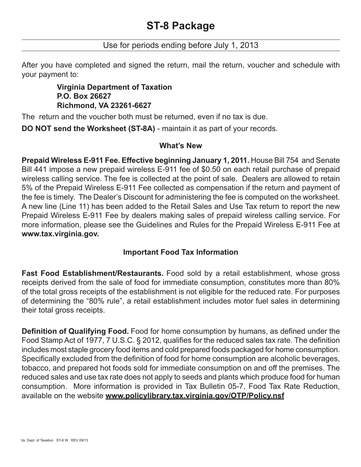# Use for periods ending before July 1, 2013

After you have completed and signed the return, mail the return, voucher and schedule with your payment to:

# **Virginia Department of Taxation P.O. Box 26627 Richmond, VA 23261-6627**

The return and the voucher both must be returned, even if no tax is due.

**DO NOT send the Worksheet (ST-8A)** - maintain it as part of your records.

## **What's New**

**Prepaid Wireless E-911 Fee. Effective beginning January 1, 2011.** House Bill 754 and Senate Bill 441 impose a new prepaid wireless E-911 fee of \$0.50 on each retail purchase of prepaid wireless calling service. The fee is collected at the point of sale. Dealers are allowed to retain 5% of the Prepaid Wireless E-911 Fee collected as compensation if the return and payment of the fee is timely. The Dealer's Discount for administering the fee is computed on the worksheet. A new line (Line 11) has been added to the Retail Sales and Use Tax return to report the new Prepaid Wireless E-911 Fee by dealers making sales of prepaid wireless calling service. For more information, please see the Guidelines and Rules for the Prepaid Wireless E-911 Fee at **www.tax.virginia.gov.**

# **Important Food Tax Information**

**Fast Food Establishment/Restaurants.** Food sold by a retail establishment, whose gross receipts derived from the sale of food for immediate consumption, constitutes more than 80% of the total gross receipts of the establishment is not eligible for the reduced rate. For purposes of determining the "80% rule", a retail establishment includes motor fuel sales in determining their total gross receipts.

**Definition of Qualifying Food.** Food for home consumption by humans, as defined under the Food Stamp Act of 1977, 7 U.S.C. § 2012, qualifies for the reduced sales tax rate. The definition includes most staple grocery food items and cold prepared foods packaged for home consumption. Specifically excluded from the definition of food for home consumption are alcoholic beverages, tobacco, and prepared hot foods sold for immediate consumption on and off the premises. The reduced sales and use tax rate does not apply to seeds and plants which produce food for human consumption. More information is provided in Tax Bulletin 05-7, Food Tax Rate Reduction, available on the website **www.policylibrary.tax.virginia.gov/OTP/Policy.nsf**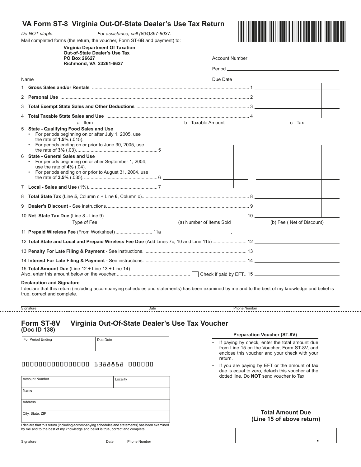|                                                                            | VA Form ST-8 Virginia Out-Of-State Dealer's Use Tax Return                                                                                                                                                            |                          |                                                           |                           |  |  |  |  |
|----------------------------------------------------------------------------|-----------------------------------------------------------------------------------------------------------------------------------------------------------------------------------------------------------------------|--------------------------|-----------------------------------------------------------|---------------------------|--|--|--|--|
|                                                                            | Do NOT staple.<br>For assistance, call (804)367-8037.                                                                                                                                                                 |                          |                                                           |                           |  |  |  |  |
| Mail completed forms (the return, the voucher, Form ST-6B and payment) to: |                                                                                                                                                                                                                       |                          |                                                           |                           |  |  |  |  |
|                                                                            | <b>Virginia Department Of Taxation</b><br><b>Out-of-State Dealer's Use Tax</b>                                                                                                                                        |                          |                                                           |                           |  |  |  |  |
|                                                                            | PO Box 26627<br>Richmond, VA 23261-6627                                                                                                                                                                               |                          |                                                           |                           |  |  |  |  |
|                                                                            |                                                                                                                                                                                                                       |                          |                                                           |                           |  |  |  |  |
|                                                                            | Name $\overline{\phantom{a}}$                                                                                                                                                                                         |                          |                                                           |                           |  |  |  |  |
|                                                                            |                                                                                                                                                                                                                       |                          |                                                           |                           |  |  |  |  |
|                                                                            |                                                                                                                                                                                                                       |                          |                                                           |                           |  |  |  |  |
| 3                                                                          |                                                                                                                                                                                                                       |                          |                                                           |                           |  |  |  |  |
|                                                                            |                                                                                                                                                                                                                       |                          |                                                           |                           |  |  |  |  |
|                                                                            | a - Item                                                                                                                                                                                                              | b - Taxable Amount       |                                                           | c - Tax                   |  |  |  |  |
| 5                                                                          | State - Qualifying Food Sales and Use<br>• For periods beginning on or after July 1, 2005, use<br>the rate of <b>1.5%</b> (.015).<br>• For periods ending on or prior to June 30, 2005, use                           |                          |                                                           |                           |  |  |  |  |
|                                                                            | 6 State - General Sales and Use<br>For periods beginning on or after September 1, 2004,<br>use the rate of $4\%$ (.04).<br>For periods ending on or prior to August 31, 2004, use<br>$\bullet$                        |                          | <u> 1989 - Johann Barbara, martxa a shekara 1989 - An</u> |                           |  |  |  |  |
|                                                                            |                                                                                                                                                                                                                       |                          |                                                           |                           |  |  |  |  |
|                                                                            |                                                                                                                                                                                                                       |                          |                                                           |                           |  |  |  |  |
|                                                                            |                                                                                                                                                                                                                       |                          |                                                           |                           |  |  |  |  |
|                                                                            |                                                                                                                                                                                                                       |                          |                                                           |                           |  |  |  |  |
|                                                                            | Type of Fee                                                                                                                                                                                                           | (a) Number of Items Sold |                                                           | (b) Fee (Net of Discount) |  |  |  |  |
|                                                                            |                                                                                                                                                                                                                       |                          |                                                           |                           |  |  |  |  |
|                                                                            |                                                                                                                                                                                                                       |                          |                                                           |                           |  |  |  |  |
|                                                                            |                                                                                                                                                                                                                       |                          |                                                           |                           |  |  |  |  |
|                                                                            |                                                                                                                                                                                                                       |                          |                                                           |                           |  |  |  |  |
|                                                                            | 15 Total Amount Due (Line $12 +$ Line $13 +$ Line $14$ )                                                                                                                                                              |                          |                                                           |                           |  |  |  |  |
|                                                                            | <b>Declaration and Signature</b><br>I declare that this return (including accompanying schedules and statements) has been examined by me and to the best of my knowledge and belief is<br>true, correct and complete. |                          |                                                           |                           |  |  |  |  |

**Form ST-8V Virginia Out-Of-State Dealer's Use Tax Voucher (Doc ID 138)**

Signature Date Phone Number

**VA Form ST-8 Virginia Out-Of-State Dealer's Use Tax Return**

For Period Ending Due Date

## 0000000000000000 1388888 000000

| <b>Account Number</b> | Locality                                                                                      |
|-----------------------|-----------------------------------------------------------------------------------------------|
| Name                  |                                                                                               |
| Address               |                                                                                               |
| City, State, ZIP      |                                                                                               |
|                       | Lakelare that this return (including accompanying schedules and etgtoments) has been examined |

I declare that this return (including accompanying schedules and statements) has been examined by me and to the best of my knowledge and belief is true, correct and complete.

- **Preparation Voucher (ST-8V)**
- If paying by check, enter the total amount due from Line 15 on the Voucher, Form ST-8V, and enclose this voucher and your check with your return.
- If you are paying by EFT or the amount of tax due is equal to zero, detach this voucher at the dotted line. Do **NOT** send voucher to Tax.

**Total Amount Due (Line 15 of above return)**

.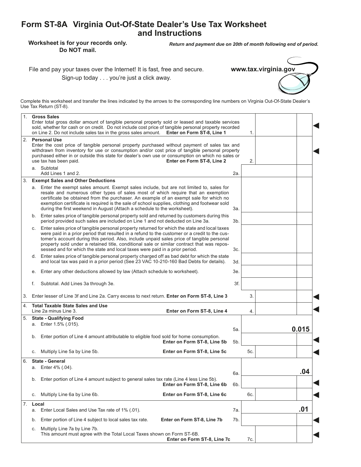# **Form ST-8A Virginia Out-Of-State Dealer's Use Tax Worksheet and Instructions**

**Worksheet is for your records only. Do NOT mail.**

*Return and payment due on 20th of month following end of period.*

File and pay your taxes over the Internet! It is fast, free and secure. Sign-up today . . . you're just a click away.



Complete this worksheet and transfer the lines indicated by the arrows to the corresponding line numbers on Virginia Out-Of-State Dealer's Use Tax Return (ST-8).

| 1. |                                                                                                                                                                                                                                                                                                                                                                                       | <b>Gross Sales</b><br>Enter total gross dollar amount of tangible personal property sold or leased and taxable services<br>sold, whether for cash or on credit. Do not include cost price of tangible personal property recorded<br>on Line 2. Do not include sales tax in the gross sales amount. Enter on Form ST-8, Line 1                                                                                                                                           |  | 1.         |     |       |
|----|---------------------------------------------------------------------------------------------------------------------------------------------------------------------------------------------------------------------------------------------------------------------------------------------------------------------------------------------------------------------------------------|-------------------------------------------------------------------------------------------------------------------------------------------------------------------------------------------------------------------------------------------------------------------------------------------------------------------------------------------------------------------------------------------------------------------------------------------------------------------------|--|------------|-----|-------|
| 2. | <b>Personal Use</b><br>Enter the cost price of tangible personal property purchased without payment of sales tax and<br>withdrawn from inventory for use or consumption and/or cost price of tangible personal property<br>purchased either in or outside this state for dealer's own use or consumption on which no sales or<br>use tax has been paid.<br>Enter on Form ST-8, Line 2 |                                                                                                                                                                                                                                                                                                                                                                                                                                                                         |  |            |     |       |
|    |                                                                                                                                                                                                                                                                                                                                                                                       | a. Subtotal<br>Add Lines 1 and 2.                                                                                                                                                                                                                                                                                                                                                                                                                                       |  | 2a.        |     |       |
| 3. |                                                                                                                                                                                                                                                                                                                                                                                       | <b>Exempt Sales and Other Deductions</b>                                                                                                                                                                                                                                                                                                                                                                                                                                |  |            |     |       |
|    |                                                                                                                                                                                                                                                                                                                                                                                       | a. Enter the exempt sales amount. Exempt sales include, but are not limited to, sales for<br>resale and numerous other types of sales most of which require that an exemption<br>certificate be obtained from the purchaser. An example of an exempt sale for which no<br>exemption certificate is required is the sale of school supplies, clothing and footwear sold<br>during the first weekend in August (Attach a schedule to the worksheet).                      |  | За.        |     |       |
|    | b. Enter sales price of tangible personal property sold and returned by customers during this<br>period provided such sales are included on Line 1 and not deducted on Line 3a.                                                                                                                                                                                                       |                                                                                                                                                                                                                                                                                                                                                                                                                                                                         |  |            |     |       |
|    | C.                                                                                                                                                                                                                                                                                                                                                                                    | Enter sales price of tangible personal property returned for which the state and local taxes<br>were paid in a prior period that resulted in a refund to the customer or a credit to the cus-<br>tomer's account during this period. Also, include unpaid sales price of tangible personal<br>property sold under a retained title, conditional sale or similar contract that was repos-<br>sessed and for which the state and local taxes were paid in a prior period. |  | 3c.        |     |       |
|    |                                                                                                                                                                                                                                                                                                                                                                                       | d. Enter sales price of tangible personal property charged off as bad debt for which the state<br>and local tax was paid in a prior period (See 23 VAC 10-210-160 Bad Debts for details).                                                                                                                                                                                                                                                                               |  | 3d.        |     |       |
|    | е.                                                                                                                                                                                                                                                                                                                                                                                    | Enter any other deductions allowed by law (Attach schedule to worksheet).                                                                                                                                                                                                                                                                                                                                                                                               |  | 3е.        |     |       |
|    | f.                                                                                                                                                                                                                                                                                                                                                                                    | Subtotal. Add Lines 3a through 3e.                                                                                                                                                                                                                                                                                                                                                                                                                                      |  | 3f.        |     |       |
| 3. |                                                                                                                                                                                                                                                                                                                                                                                       | Enter lesser of Line 3f and Line 2a. Carry excess to next return. Enter on Form ST-8, Line 3                                                                                                                                                                                                                                                                                                                                                                            |  |            | 3.  |       |
| 4. |                                                                                                                                                                                                                                                                                                                                                                                       | <b>Total Taxable State Sales and Use</b><br>Line 2a minus Line 3.<br>Enter on Form ST-8, Line 4                                                                                                                                                                                                                                                                                                                                                                         |  |            | 4.  |       |
| 5. |                                                                                                                                                                                                                                                                                                                                                                                       | <b>State - Qualifying Food</b>                                                                                                                                                                                                                                                                                                                                                                                                                                          |  |            |     |       |
|    |                                                                                                                                                                                                                                                                                                                                                                                       | a. Enter 1.5% (.015).                                                                                                                                                                                                                                                                                                                                                                                                                                                   |  |            |     | 0.015 |
|    | b.                                                                                                                                                                                                                                                                                                                                                                                    | Enter portion of Line 4 amount attributable to eligible food sold for home consumption.                                                                                                                                                                                                                                                                                                                                                                                 |  | 5а.        |     |       |
|    |                                                                                                                                                                                                                                                                                                                                                                                       | Enter on Form ST-8, Line 5b                                                                                                                                                                                                                                                                                                                                                                                                                                             |  | 5b.        |     |       |
|    | С.                                                                                                                                                                                                                                                                                                                                                                                    | Enter on Form ST-8, Line 5c<br>Multiply Line 5a by Line 5b.                                                                                                                                                                                                                                                                                                                                                                                                             |  |            | 5c. |       |
| 6. |                                                                                                                                                                                                                                                                                                                                                                                       | <b>State - General</b>                                                                                                                                                                                                                                                                                                                                                                                                                                                  |  |            |     |       |
|    |                                                                                                                                                                                                                                                                                                                                                                                       | a. Enter 4% (.04).                                                                                                                                                                                                                                                                                                                                                                                                                                                      |  |            |     | .04   |
|    | b.                                                                                                                                                                                                                                                                                                                                                                                    | Enter portion of Line 4 amount subject to general sales tax rate (Line 4 less Line 5b).<br>Enter on Form ST-8, Line 6b                                                                                                                                                                                                                                                                                                                                                  |  | 6а.<br>6b. |     |       |
|    | С.                                                                                                                                                                                                                                                                                                                                                                                    | Multiply Line 6a by Line 6b.<br>Enter on Form ST-8, Line 6c                                                                                                                                                                                                                                                                                                                                                                                                             |  |            | 6c. |       |
| 7. | Local                                                                                                                                                                                                                                                                                                                                                                                 |                                                                                                                                                                                                                                                                                                                                                                                                                                                                         |  |            |     |       |
|    | Enter Local Sales and Use Tax rate of 1% (.01).<br>a.                                                                                                                                                                                                                                                                                                                                 |                                                                                                                                                                                                                                                                                                                                                                                                                                                                         |  |            |     | .01   |
|    | b.                                                                                                                                                                                                                                                                                                                                                                                    | Enter portion of Line 4 subject to local sales tax rate.<br>Enter on Form ST-8, Line 7b                                                                                                                                                                                                                                                                                                                                                                                 |  | 7b.        |     |       |
|    | С.                                                                                                                                                                                                                                                                                                                                                                                    | Multiply Line 7a by Line 7b.<br>This amount must agree with the Total Local Taxes shown on Form ST-6B.<br>Enter on Form ST-8, Line 7c                                                                                                                                                                                                                                                                                                                                   |  |            | 7c. |       |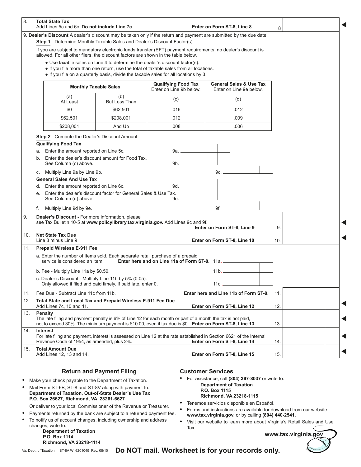| 8.                                                                                                                                                                              | <b>Total State Tax</b><br>Add Lines 5c and 6c. Do not include Line 7c.                                                                                                                                                                                        |                      |                                               | Enter on Form ST-8, Line 8                                                                                          | 8   |  |  |  |  |
|---------------------------------------------------------------------------------------------------------------------------------------------------------------------------------|---------------------------------------------------------------------------------------------------------------------------------------------------------------------------------------------------------------------------------------------------------------|----------------------|-----------------------------------------------|---------------------------------------------------------------------------------------------------------------------|-----|--|--|--|--|
|                                                                                                                                                                                 |                                                                                                                                                                                                                                                               |                      |                                               | 9. Dealer's Discount A dealer's discount may be taken only if the return and payment are submitted by the due date. |     |  |  |  |  |
|                                                                                                                                                                                 | Step 1 - Determine Monthly Taxable Sales and Dealer's Discount Factor(s)                                                                                                                                                                                      |                      |                                               |                                                                                                                     |     |  |  |  |  |
|                                                                                                                                                                                 | If you are subject to mandatory electronic funds transfer (EFT) payment requirements, no dealer's discount is<br>allowed. For all other filers, the discount factors are shown in the table below.                                                            |                      |                                               |                                                                                                                     |     |  |  |  |  |
|                                                                                                                                                                                 | • Use taxable sales on Line 4 to determine the dealer's discount factor(s).<br>• If you file more than one return, use the total of taxable sales from all locations.<br>. If you file on a quarterly basis, divide the taxable sales for all locations by 3. |                      |                                               |                                                                                                                     |     |  |  |  |  |
|                                                                                                                                                                                 | <b>General Sales &amp; Use Tax</b><br><b>Qualifying Food Tax</b><br><b>Monthly Taxable Sales</b><br>Enter on Line 9b below.<br>Enter on Line 9e below.                                                                                                        |                      |                                               |                                                                                                                     |     |  |  |  |  |
|                                                                                                                                                                                 | (a)<br>At Least                                                                                                                                                                                                                                               | (b)<br>But Less Than | (c)                                           | (d)                                                                                                                 |     |  |  |  |  |
|                                                                                                                                                                                 | \$0                                                                                                                                                                                                                                                           | \$62,501             | .016                                          | .012                                                                                                                |     |  |  |  |  |
|                                                                                                                                                                                 | \$62,501                                                                                                                                                                                                                                                      | \$208,001            | .012                                          | .009                                                                                                                |     |  |  |  |  |
|                                                                                                                                                                                 | \$208,001                                                                                                                                                                                                                                                     | And Up               | .008                                          | .006                                                                                                                |     |  |  |  |  |
|                                                                                                                                                                                 | Step 2 - Compute the Dealer's Discount Amount<br><b>Qualifying Food Tax</b>                                                                                                                                                                                   |                      |                                               |                                                                                                                     |     |  |  |  |  |
| а.                                                                                                                                                                              | Enter the amount reported on Line 5c.                                                                                                                                                                                                                         |                      |                                               |                                                                                                                     |     |  |  |  |  |
| b.                                                                                                                                                                              | Enter the dealer's discount amount for Food Tax.<br>See Column (c) above.                                                                                                                                                                                     |                      |                                               |                                                                                                                     |     |  |  |  |  |
| C.                                                                                                                                                                              | Multiply Line 9a by Line 9b.                                                                                                                                                                                                                                  |                      |                                               | 9c.                                                                                                                 |     |  |  |  |  |
|                                                                                                                                                                                 | <b>General Sales And Use Tax</b>                                                                                                                                                                                                                              |                      |                                               |                                                                                                                     |     |  |  |  |  |
| d.                                                                                                                                                                              | Enter the amount reported on Line 6c.                                                                                                                                                                                                                         |                      |                                               |                                                                                                                     |     |  |  |  |  |
| е.                                                                                                                                                                              | Enter the dealer's discount factor for General Sales & Use Tax.<br>See Column (d) above.                                                                                                                                                                      |                      |                                               |                                                                                                                     |     |  |  |  |  |
| f.                                                                                                                                                                              | Multiply Line 9d by 9e.                                                                                                                                                                                                                                       |                      |                                               | 9f.                                                                                                                 |     |  |  |  |  |
| 9.<br>Dealer's Discount - For more information, please<br>see Tax Bulletin 10-5 at www.policylibrary.tax.virginia.gov. Add Lines 9c and 9f.<br>Enter on Form ST-8, Line 9<br>9. |                                                                                                                                                                                                                                                               |                      |                                               |                                                                                                                     |     |  |  |  |  |
| 10.                                                                                                                                                                             | <b>Net State Tax Due</b>                                                                                                                                                                                                                                      |                      |                                               |                                                                                                                     |     |  |  |  |  |
|                                                                                                                                                                                 | Line 8 minus Line 9                                                                                                                                                                                                                                           |                      |                                               | Enter on Form ST-8, Line 10                                                                                         | 10. |  |  |  |  |
| 11.                                                                                                                                                                             | <b>Prepaid Wireless E-911 Fee</b>                                                                                                                                                                                                                             |                      |                                               |                                                                                                                     |     |  |  |  |  |
|                                                                                                                                                                                 | a. Enter the number of Items sold. Each separate retail purchase of a prepaid<br>service is considered an item.                                                                                                                                               |                      | Enter here and on Line 11a of Form ST-8. 11a. |                                                                                                                     |     |  |  |  |  |
|                                                                                                                                                                                 | b. Fee - Multiply Line 11a by \$0.50.                                                                                                                                                                                                                         |                      |                                               |                                                                                                                     |     |  |  |  |  |
|                                                                                                                                                                                 | c. Dealer's Discount - Multiply Line 11b by 5% (0.05).<br>Only allowed if filed and paid timely. If paid late, enter 0.                                                                                                                                       |                      |                                               | 11c $\mathcal{L}$                                                                                                   |     |  |  |  |  |
| 11.                                                                                                                                                                             | Fee Due - Subtract Line 11c from 11b.                                                                                                                                                                                                                         |                      |                                               | Enter here and Line 11b of Form ST-8.                                                                               | 11. |  |  |  |  |
| 12.                                                                                                                                                                             | Total State and Local Tax and Prepaid Wireless E-911 Fee Due<br>Add Lines 7c, 10 and 11.<br>Enter on Form ST-8, Line 12                                                                                                                                       |                      |                                               |                                                                                                                     |     |  |  |  |  |
| 13.                                                                                                                                                                             | Penalty<br>The late filing and payment penalty is 6% of Line 12 for each month or part of a month the tax is not paid,<br>not to exceed 30%. The minimum payment is \$10.00, even if tax due is \$0. Enter on Form ST-8, Line 13                              | 13.                  |                                               |                                                                                                                     |     |  |  |  |  |
| 14.                                                                                                                                                                             | <b>Interest</b><br>For late filing and payment, interest is assessed on Line 12 at the rate established in Section 6621 of the Internal<br>Revenue Code of 1954, as amended, plus 2%.                                                                         | 14.                  |                                               |                                                                                                                     |     |  |  |  |  |
| 15.                                                                                                                                                                             | <b>Total Amount Due</b><br>Add Lines 12, 13 and 14.                                                                                                                                                                                                           |                      |                                               | Enter on Form ST-8, Line 15                                                                                         | 15. |  |  |  |  |

### **Return and Payment Filing**

- **•** Make your check payable to the Department of Taxation.
- **•** Mail Form ST-6B, ST-8 and ST-8V along with payment to: **Department of Taxation, Out-of-State Dealer's Use Tax P.O. Box 26627, Richmond, VA 23261-6627**
	- Or deliver to your local Commissioner of the Revenue or Treasurer.
- **•** Payments returned by the bank are subject to a returned payment fee. **•** To notify us of account changes, including ownership and address
- changes, write to:

**Department of Taxation P.O. Box 1114 Richmond, VA 23218-1114**

### **Customer Services**

- **•** For assistance, call **(804) 367-8037** or write to:
	- **Department of Taxation P.O. Box 1115**
		- **Richmond, VA 23218-1115**
- **•** Tenemos servicios disponible en Español.
- **•** Forms and instructions are available for download from our website, **www.tax.virginia.gov,** or by calling **(804) 440-2541**.
- **•** Visit our website to learn more about Virginia's Retail Sales and Use Tax.

**www.tax.virginia.gov**

Va. Dept. of Taxation ST-8A W 6201049 Rev. 08/10

**Do NOT mail. Worksheet is for your records only.**